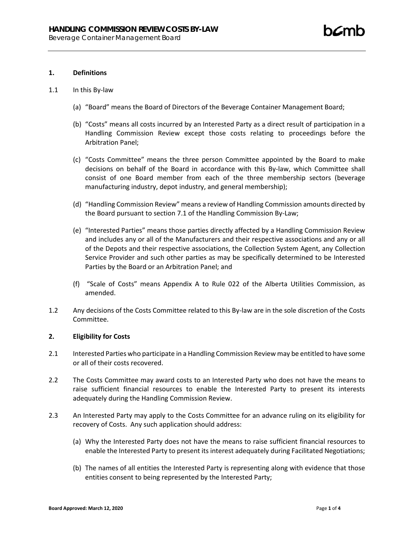#### **1. Definitions**

- 1.1 In this By-law
	- (a) "Board" means the Board of Directors of the Beverage Container Management Board;
	- (b) "Costs" means all costs incurred by an Interested Party as a direct result of participation in a Handling Commission Review except those costs relating to proceedings before the Arbitration Panel;
	- (c) "Costs Committee" means the three person Committee appointed by the Board to make decisions on behalf of the Board in accordance with this By-law, which Committee shall consist of one Board member from each of the three membership sectors (beverage manufacturing industry, depot industry, and general membership);
	- (d) "Handling Commission Review" means a review of Handling Commission amounts directed by the Board pursuant to section 7.1 of the Handling Commission By-Law;
	- (e) "Interested Parties" means those parties directly affected by a Handling Commission Review and includes any or all of the Manufacturers and their respective associations and any or all of the Depots and their respective associations, the Collection System Agent, any Collection Service Provider and such other parties as may be specifically determined to be Interested Parties by the Board or an Arbitration Panel; and
	- (f) "Scale of Costs" means Appendix A to Rule 022 of the Alberta Utilities Commission, as amended.
- 1.2 Any decisions of the Costs Committee related to this By-law are in the sole discretion of the Costs Committee.

#### **2. Eligibility for Costs**

- 2.1 Interested Parties who participate in a Handling Commission Review may be entitled to have some or all of their costs recovered.
- 2.2 The Costs Committee may award costs to an Interested Party who does not have the means to raise sufficient financial resources to enable the Interested Party to present its interests adequately during the Handling Commission Review.
- 2.3 An Interested Party may apply to the Costs Committee for an advance ruling on its eligibility for recovery of Costs. Any such application should address:
	- (a) Why the Interested Party does not have the means to raise sufficient financial resources to enable the Interested Party to present its interest adequately during Facilitated Negotiations;
	- (b) The names of all entities the Interested Party is representing along with evidence that those entities consent to being represented by the Interested Party;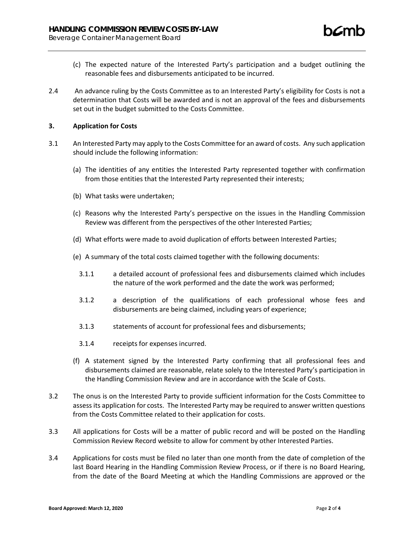- (c) The expected nature of the Interested Party's participation and a budget outlining the reasonable fees and disbursements anticipated to be incurred.
- 2.4 An advance ruling by the Costs Committee as to an Interested Party's eligibility for Costs is not a determination that Costs will be awarded and is not an approval of the fees and disbursements set out in the budget submitted to the Costs Committee.

## **3. Application for Costs**

- 3.1 An Interested Party may apply to the Costs Committee for an award of costs. Any such application should include the following information:
	- (a) The identities of any entities the Interested Party represented together with confirmation from those entities that the Interested Party represented their interests;
	- (b) What tasks were undertaken;
	- (c) Reasons why the Interested Party's perspective on the issues in the Handling Commission Review was different from the perspectives of the other Interested Parties;
	- (d) What efforts were made to avoid duplication of efforts between Interested Parties;
	- (e) A summary of the total costs claimed together with the following documents:
		- 3.1.1 a detailed account of professional fees and disbursements claimed which includes the nature of the work performed and the date the work was performed;
		- 3.1.2 a description of the qualifications of each professional whose fees and disbursements are being claimed, including years of experience;
		- 3.1.3 statements of account for professional fees and disbursements;
		- 3.1.4 receipts for expenses incurred.
	- (f) A statement signed by the Interested Party confirming that all professional fees and disbursements claimed are reasonable, relate solely to the Interested Party's participation in the Handling Commission Review and are in accordance with the Scale of Costs.
- 3.2 The onus is on the Interested Party to provide sufficient information for the Costs Committee to assess its application for costs. The Interested Party may be required to answer written questions from the Costs Committee related to their application for costs.
- 3.3 All applications for Costs will be a matter of public record and will be posted on the Handling Commission Review Record website to allow for comment by other Interested Parties.
- 3.4 Applications for costs must be filed no later than one month from the date of completion of the last Board Hearing in the Handling Commission Review Process, or if there is no Board Hearing, from the date of the Board Meeting at which the Handling Commissions are approved or the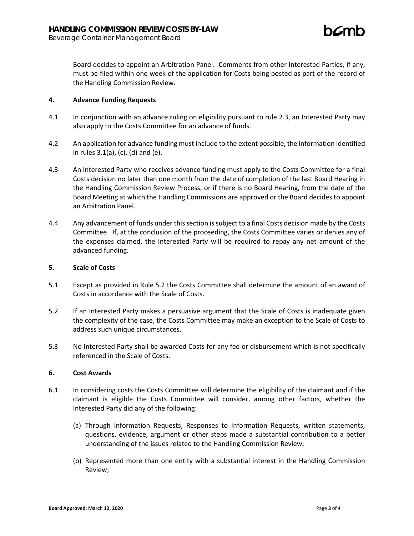Board decides to appoint an Arbitration Panel. Comments from other Interested Parties, if any, must be filed within one week of the application for Costs being posted as part of the record of the Handling Commission Review.

## **4. Advance Funding Requests**

- 4.1 In conjunction with an advance ruling on eligibility pursuant to rule 2.3, an Interested Party may also apply to the Costs Committee for an advance of funds.
- 4.2 An application for advance funding must include to the extent possible, the information identified in rules 3.1(a), (c), (d) and (e).
- 4.3 An Interested Party who receives advance funding must apply to the Costs Committee for a final Costs decision no later than one month from the date of completion of the last Board Hearing in the Handling Commission Review Process, or if there is no Board Hearing, from the date of the Board Meeting at which the Handling Commissions are approved or the Board decides to appoint an Arbitration Panel.
- 4.4 Any advancement of funds under this section is subject to a final Costs decision made by the Costs Committee. If, at the conclusion of the proceeding, the Costs Committee varies or denies any of the expenses claimed, the Interested Party will be required to repay any net amount of the advanced funding.

# **5. Scale of Costs**

- 5.1 Except as provided in Rule 5.2 the Costs Committee shall determine the amount of an award of Costs in accordance with the Scale of Costs.
- 5.2 If an Interested Party makes a persuasive argument that the Scale of Costs is inadequate given the complexity of the case, the Costs Committee may make an exception to the Scale of Costs to address such unique circumstances.
- 5.3 No Interested Party shall be awarded Costs for any fee or disbursement which is not specifically referenced in the Scale of Costs.

# **6. Cost Awards**

- 6.1 In considering costs the Costs Committee will determine the eligibility of the claimant and if the claimant is eligible the Costs Committee will consider, among other factors, whether the Interested Party did any of the following:
	- (a) Through Information Requests, Responses to Information Requests, written statements, questions, evidence, argument or other steps made a substantial contribution to a better understanding of the issues related to the Handling Commission Review;
	- (b) Represented more than one entity with a substantial interest in the Handling Commission Review;